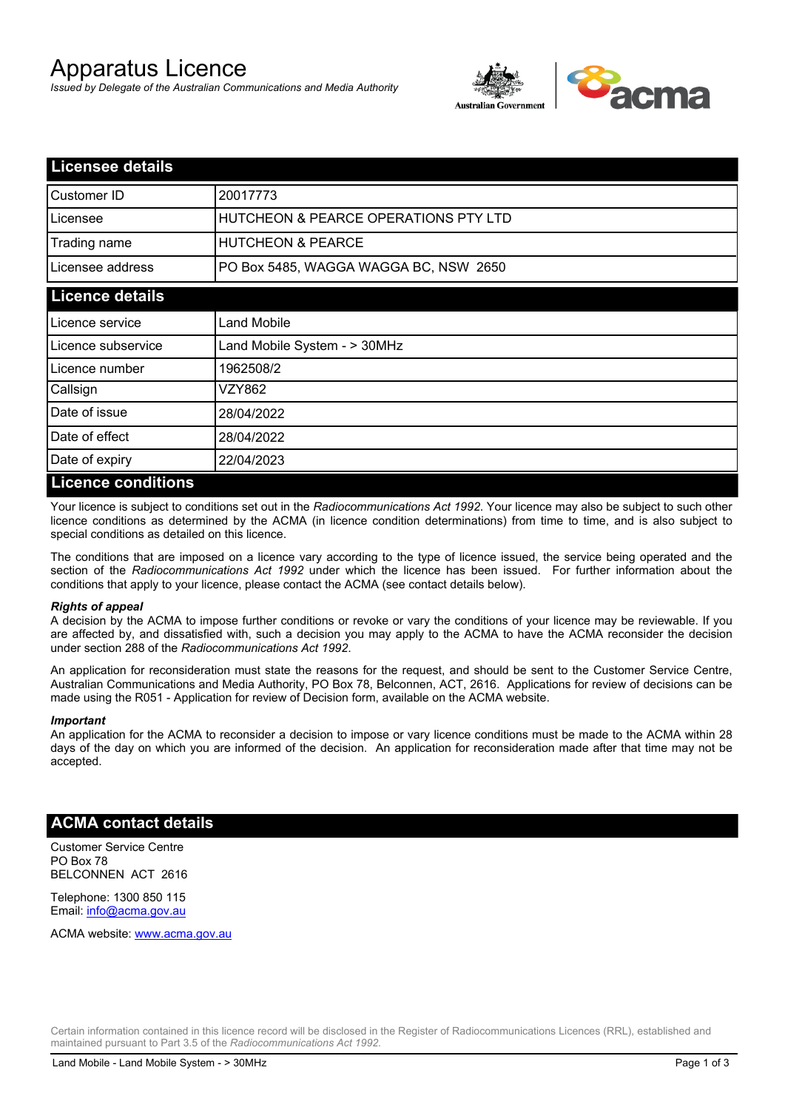# Apparatus Licence

*Issued by Delegate of the Australian Communications and Media Authority*



| <b>Licensee details</b> |                                       |  |  |
|-------------------------|---------------------------------------|--|--|
| Customer ID             | 20017773                              |  |  |
| Licensee                | HUTCHEON & PEARCE OPERATIONS PTY LTD  |  |  |
| Trading name            | <b>HUTCHEON &amp; PEARCE</b>          |  |  |
| Licensee address        | PO Box 5485, WAGGA WAGGA BC, NSW 2650 |  |  |
| <b>Licence details</b>  |                                       |  |  |
| Licence service         | <b>Land Mobile</b>                    |  |  |
| Licence subservice      | Land Mobile System - > 30MHz          |  |  |
| l Licence number        | 1962508/2                             |  |  |
| Callsign                | VZY862                                |  |  |
| Date of issue           | 28/04/2022                            |  |  |
| Date of effect          | 28/04/2022                            |  |  |
| Date of expiry          | 22/04/2023                            |  |  |
| Licence conditions      |                                       |  |  |

## **Licence conditions**

Your licence is subject to conditions set out in the *Radiocommunications Act 1992*. Your licence may also be subject to such other licence conditions as determined by the ACMA (in licence condition determinations) from time to time, and is also subject to special conditions as detailed on this licence.

The conditions that are imposed on a licence vary according to the type of licence issued, the service being operated and the section of the *Radiocommunications Act 1992* under which the licence has been issued. For further information about the conditions that apply to your licence, please contact the ACMA (see contact details below).

#### *Rights of appeal*

A decision by the ACMA to impose further conditions or revoke or vary the conditions of your licence may be reviewable. If you are affected by, and dissatisfied with, such a decision you may apply to the ACMA to have the ACMA reconsider the decision under section 288 of the *Radiocommunications Act 1992*.

An application for reconsideration must state the reasons for the request, and should be sent to the Customer Service Centre, Australian Communications and Media Authority, PO Box 78, Belconnen, ACT, 2616. Applications for review of decisions can be made using the R051 - Application for review of Decision form, available on the ACMA website.

#### *Important*

An application for the ACMA to reconsider a decision to impose or vary licence conditions must be made to the ACMA within 28 days of the day on which you are informed of the decision. An application for reconsideration made after that time may not be accepted.

### **ACMA contact details**

Customer Service Centre PO Box 78 BELCONNEN ACT 2616

Telephone: 1300 850 115 Email: info@acma.gov.au

ACMA website: www.acma.gov.au

Certain information contained in this licence record will be disclosed in the Register of Radiocommunications Licences (RRL), established and maintained pursuant to Part 3.5 of the *Radiocommunications Act 1992.*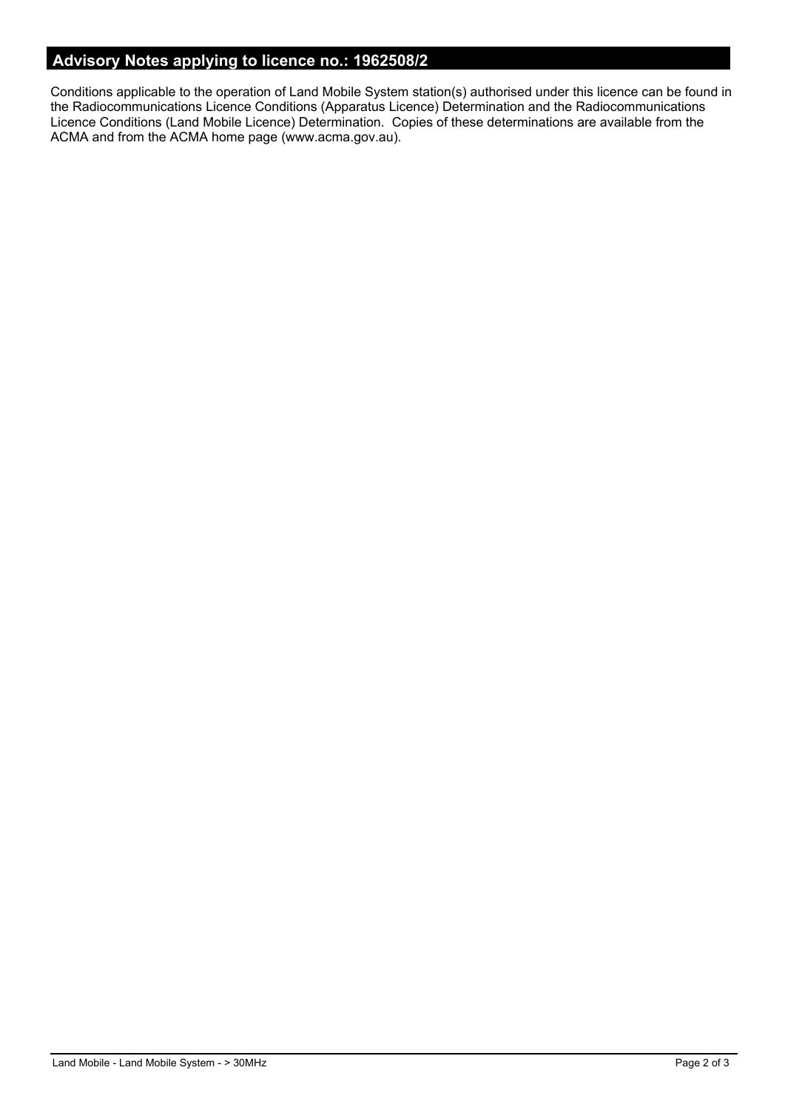## **Advisory Notes applying to licence no.: 1962508/2**

Conditions applicable to the operation of Land Mobile System station(s) authorised under this licence can be found in the Radiocommunications Licence Conditions (Apparatus Licence) Determination and the Radiocommunications Licence Conditions (Land Mobile Licence) Determination. Copies of these determinations are available from the ACMA and from the ACMA home page (www.acma.gov.au).